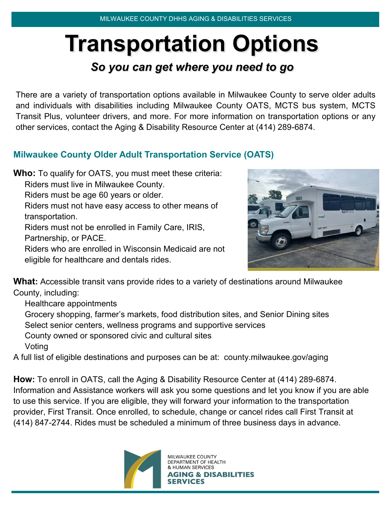# **Transportation Options** *So you can get where you need to go*

There are a variety of transportation options available in Milwaukee County to serve older adults and individuals with disabilities including Milwaukee County OATS, MCTS bus system, MCTS Transit Plus, volunteer drivers, and more. For more information on transportation options or any other services, contact the Aging & Disability Resource Center at (414) 289-6874.

### **Milwaukee County Older Adult Transportation Service (OATS)**

**Who:** To qualify for OATS, you must meet these criteria: Riders must live in Milwaukee County. Riders must be age 60 years or older. Riders must not have easy access to other means of transportation.

Riders must not be enrolled in Family Care, IRIS, Partnership, or PACE.

Riders who are enrolled in Wisconsin Medicaid are not eligible for healthcare and dentals rides.



**What:** Accessible transit vans provide rides to a variety of destinations around Milwaukee County, including:

Healthcare appointments

Grocery shopping, farmer's markets, food distribution sites, and Senior Dining sites Select senior centers, wellness programs and supportive services

County owned or sponsored civic and cultural sites Voting

A full list of eligible destinations and purposes can be at: county.milwaukee.gov/aging

**How:** To enroll in OATS, call the Aging & Disability Resource Center at (414) 289-6874. Information and Assistance workers will ask you some questions and let you know if you are able to use this service. If you are eligible, they will forward your information to the transportation provider, First Transit. Once enrolled, to schedule, change or cancel rides call First Transit at (414) 847-2744. Rides must be scheduled a minimum of three business days in advance.



MILWAUKEE COUNTY DEPARTMENT OF HEALTH **AN SERVICES IG & DISABILITIES**